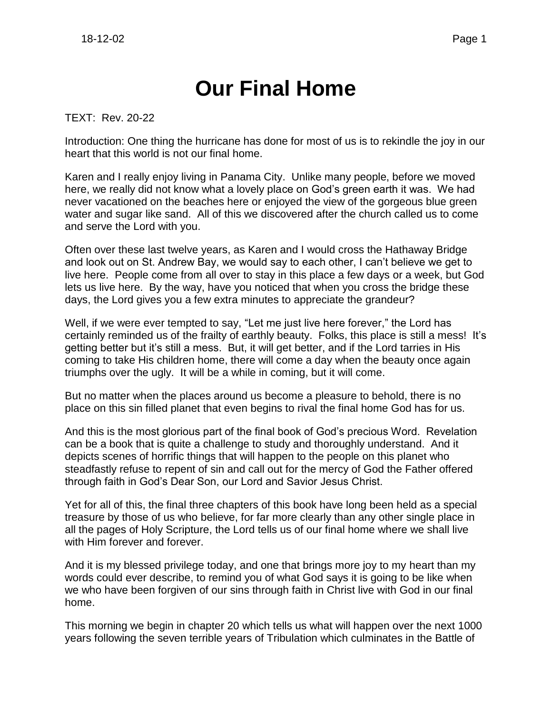# **Our Final Home**

TEXT: Rev. 20-22

Introduction: One thing the hurricane has done for most of us is to rekindle the joy in our heart that this world is not our final home.

Karen and I really enjoy living in Panama City. Unlike many people, before we moved here, we really did not know what a lovely place on God's green earth it was. We had never vacationed on the beaches here or enjoyed the view of the gorgeous blue green water and sugar like sand. All of this we discovered after the church called us to come and serve the Lord with you.

Often over these last twelve years, as Karen and I would cross the Hathaway Bridge and look out on St. Andrew Bay, we would say to each other, I can't believe we get to live here. People come from all over to stay in this place a few days or a week, but God lets us live here. By the way, have you noticed that when you cross the bridge these days, the Lord gives you a few extra minutes to appreciate the grandeur?

Well, if we were ever tempted to say, "Let me just live here forever," the Lord has certainly reminded us of the frailty of earthly beauty. Folks, this place is still a mess! It's getting better but it's still a mess. But, it will get better, and if the Lord tarries in His coming to take His children home, there will come a day when the beauty once again triumphs over the ugly. It will be a while in coming, but it will come.

But no matter when the places around us become a pleasure to behold, there is no place on this sin filled planet that even begins to rival the final home God has for us.

And this is the most glorious part of the final book of God's precious Word. Revelation can be a book that is quite a challenge to study and thoroughly understand. And it depicts scenes of horrific things that will happen to the people on this planet who steadfastly refuse to repent of sin and call out for the mercy of God the Father offered through faith in God's Dear Son, our Lord and Savior Jesus Christ.

Yet for all of this, the final three chapters of this book have long been held as a special treasure by those of us who believe, for far more clearly than any other single place in all the pages of Holy Scripture, the Lord tells us of our final home where we shall live with Him forever and forever.

And it is my blessed privilege today, and one that brings more joy to my heart than my words could ever describe, to remind you of what God says it is going to be like when we who have been forgiven of our sins through faith in Christ live with God in our final home.

This morning we begin in chapter 20 which tells us what will happen over the next 1000 years following the seven terrible years of Tribulation which culminates in the Battle of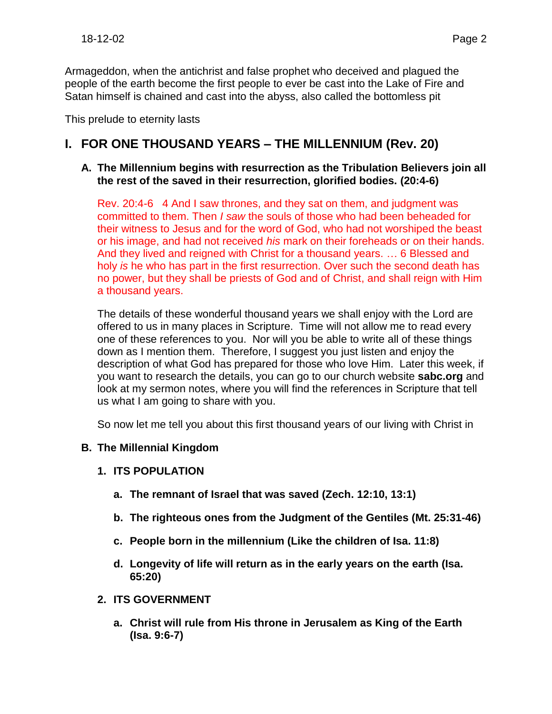Armageddon, when the antichrist and false prophet who deceived and plagued the people of the earth become the first people to ever be cast into the Lake of Fire and Satan himself is chained and cast into the abyss, also called the bottomless pit

This prelude to eternity lasts

## **I. FOR ONE THOUSAND YEARS – THE MILLENNIUM (Rev. 20)**

#### **A. The Millennium begins with resurrection as the Tribulation Believers join all the rest of the saved in their resurrection, glorified bodies. (20:4-6)**

Rev. 20:4-6 4 And I saw thrones, and they sat on them, and judgment was committed to them. Then *I saw* the souls of those who had been beheaded for their witness to Jesus and for the word of God, who had not worshiped the beast or his image, and had not received *his* mark on their foreheads or on their hands. And they lived and reigned with Christ for a thousand years. … 6 Blessed and holy *is* he who has part in the first resurrection. Over such the second death has no power, but they shall be priests of God and of Christ, and shall reign with Him a thousand years.

The details of these wonderful thousand years we shall enjoy with the Lord are offered to us in many places in Scripture. Time will not allow me to read every one of these references to you. Nor will you be able to write all of these things down as I mention them. Therefore, I suggest you just listen and enjoy the description of what God has prepared for those who love Him. Later this week, if you want to research the details, you can go to our church website **sabc.org** and look at my sermon notes, where you will find the references in Scripture that tell us what I am going to share with you.

So now let me tell you about this first thousand years of our living with Christ in

### **B. The Millennial Kingdom**

- **1. ITS POPULATION**
	- **a. The remnant of Israel that was saved (Zech. 12:10, 13:1)**
	- **b. The righteous ones from the Judgment of the Gentiles (Mt. 25:31-46)**
	- **c. People born in the millennium (Like the children of Isa. 11:8)**
	- **d. Longevity of life will return as in the early years on the earth (Isa. 65:20)**
- **2. ITS GOVERNMENT**
	- **a. Christ will rule from His throne in Jerusalem as King of the Earth (Isa. 9:6-7)**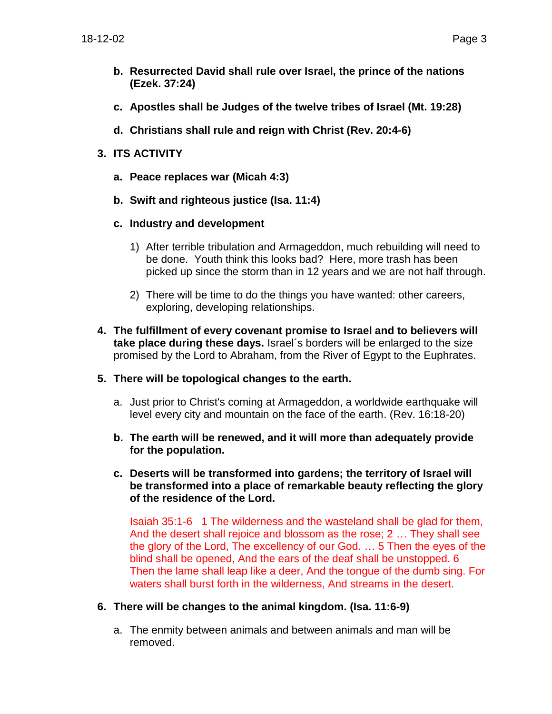- **b. Resurrected David shall rule over Israel, the prince of the nations (Ezek. 37:24)**
- **c. Apostles shall be Judges of the twelve tribes of Israel (Mt. 19:28)**
- **d. Christians shall rule and reign with Christ (Rev. 20:4-6)**
- **3. ITS ACTIVITY**
	- **a. Peace replaces war (Micah 4:3)**
	- **b. Swift and righteous justice (Isa. 11:4)**
	- **c. Industry and development**
		- 1) After terrible tribulation and Armageddon, much rebuilding will need to be done. Youth think this looks bad? Here, more trash has been picked up since the storm than in 12 years and we are not half through.
		- 2) There will be time to do the things you have wanted: other careers, exploring, developing relationships.
- **4. The fulfillment of every covenant promise to Israel and to believers will take place during these days.** Israel´s borders will be enlarged to the size promised by the Lord to Abraham, from the River of Egypt to the Euphrates.
- **5. There will be topological changes to the earth.**
	- a. Just prior to Christ's coming at Armageddon, a worldwide earthquake will level every city and mountain on the face of the earth. (Rev. 16:18-20)
	- **b. The earth will be renewed, and it will more than adequately provide for the population.**
	- **c. Deserts will be transformed into gardens; the territory of Israel will be transformed into a place of remarkable beauty reflecting the glory of the residence of the Lord.**

Isaiah 35:1-6 1 The wilderness and the wasteland shall be glad for them, And the desert shall rejoice and blossom as the rose; 2 … They shall see the glory of the Lord, The excellency of our God. … 5 Then the eyes of the blind shall be opened, And the ears of the deaf shall be unstopped. 6 Then the lame shall leap like a deer, And the tongue of the dumb sing. For waters shall burst forth in the wilderness, And streams in the desert.

- **6. There will be changes to the animal kingdom. (Isa. 11:6-9)**
	- a. The enmity between animals and between animals and man will be removed.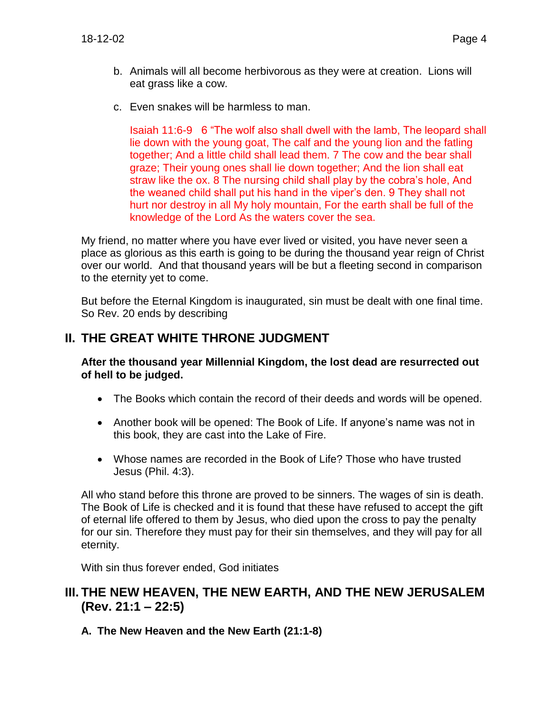- b. Animals will all become herbivorous as they were at creation. Lions will eat grass like a cow.
- c. Even snakes will be harmless to man.

Isaiah 11:6-9 6 "The wolf also shall dwell with the lamb, The leopard shall lie down with the young goat, The calf and the young lion and the fatling together; And a little child shall lead them. 7 The cow and the bear shall graze; Their young ones shall lie down together; And the lion shall eat straw like the ox. 8 The nursing child shall play by the cobra's hole, And the weaned child shall put his hand in the viper's den. 9 They shall not hurt nor destroy in all My holy mountain, For the earth shall be full of the knowledge of the Lord As the waters cover the sea.

My friend, no matter where you have ever lived or visited, you have never seen a place as glorious as this earth is going to be during the thousand year reign of Christ over our world. And that thousand years will be but a fleeting second in comparison to the eternity yet to come.

But before the Eternal Kingdom is inaugurated, sin must be dealt with one final time. So Rev. 20 ends by describing

## **II. THE GREAT WHITE THRONE JUDGMENT**

**After the thousand year Millennial Kingdom, the lost dead are resurrected out of hell to be judged.**

- The Books which contain the record of their deeds and words will be opened.
- Another book will be opened: The Book of Life. If anyone's name was not in this book, they are cast into the Lake of Fire.
- Whose names are recorded in the Book of Life? Those who have trusted Jesus (Phil. 4:3).

All who stand before this throne are proved to be sinners. The wages of sin is death. The Book of Life is checked and it is found that these have refused to accept the gift of eternal life offered to them by Jesus, who died upon the cross to pay the penalty for our sin. Therefore they must pay for their sin themselves, and they will pay for all eternity.

With sin thus forever ended, God initiates

## **III. THE NEW HEAVEN, THE NEW EARTH, AND THE NEW JERUSALEM (Rev. 21:1 – 22:5)**

**A. The New Heaven and the New Earth (21:1-8)**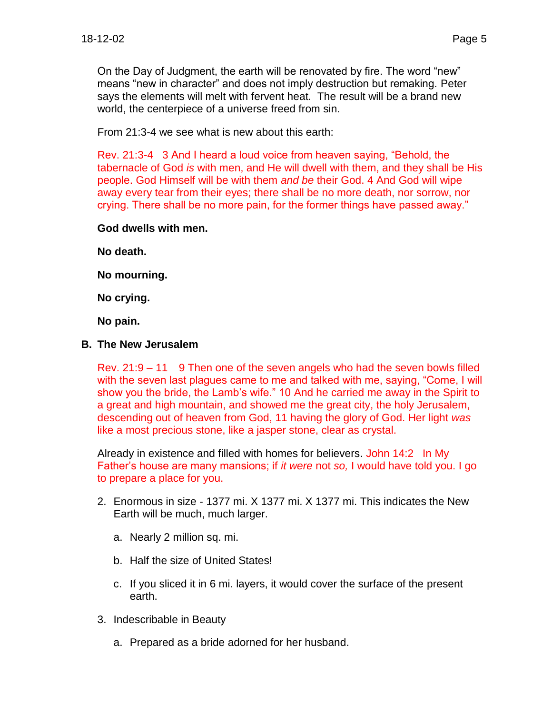On the Day of Judgment, the earth will be renovated by fire. The word "new" means "new in character" and does not imply destruction but remaking. Peter says the elements will melt with fervent heat. The result will be a brand new world, the centerpiece of a universe freed from sin.

From 21:3-4 we see what is new about this earth:

Rev. 21:3-4 3 And I heard a loud voice from heaven saying, "Behold, the tabernacle of God *is* with men, and He will dwell with them, and they shall be His people. God Himself will be with them *and be* their God. 4 And God will wipe away every tear from their eyes; there shall be no more death, nor sorrow, nor crying. There shall be no more pain, for the former things have passed away."

#### **God dwells with men.**

**No death.**

**No mourning.**

**No crying.**

**No pain.**

#### **B. The New Jerusalem**

Rev. 21:9 – 11 9 Then one of the seven angels who had the seven bowls filled with the seven last plagues came to me and talked with me, saying, "Come, I will show you the bride, the Lamb's wife." 10 And he carried me away in the Spirit to a great and high mountain, and showed me the great city, the holy Jerusalem, descending out of heaven from God, 11 having the glory of God. Her light *was* like a most precious stone, like a jasper stone, clear as crystal.

Already in existence and filled with homes for believers. John 14:2 In My Father's house are many mansions; if *it were* not *so,* I would have told you. I go to prepare a place for you.

- 2. Enormous in size 1377 mi. X 1377 mi. X 1377 mi. This indicates the New Earth will be much, much larger.
	- a. Nearly 2 million sq. mi.
	- b. Half the size of United States!
	- c. If you sliced it in 6 mi. layers, it would cover the surface of the present earth.
- 3. Indescribable in Beauty
	- a. Prepared as a bride adorned for her husband.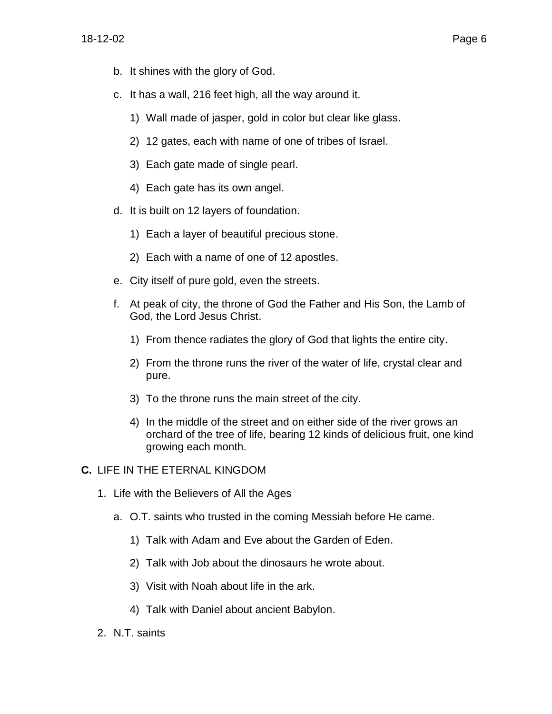- b. It shines with the glory of God.
- c. It has a wall, 216 feet high, all the way around it.
	- 1) Wall made of jasper, gold in color but clear like glass.
	- 2) 12 gates, each with name of one of tribes of Israel.
	- 3) Each gate made of single pearl.
	- 4) Each gate has its own angel.
- d. It is built on 12 layers of foundation.
	- 1) Each a layer of beautiful precious stone.
	- 2) Each with a name of one of 12 apostles.
- e. City itself of pure gold, even the streets.
- f. At peak of city, the throne of God the Father and His Son, the Lamb of God, the Lord Jesus Christ.
	- 1) From thence radiates the glory of God that lights the entire city.
	- 2) From the throne runs the river of the water of life, crystal clear and pure.
	- 3) To the throne runs the main street of the city.
	- 4) In the middle of the street and on either side of the river grows an orchard of the tree of life, bearing 12 kinds of delicious fruit, one kind growing each month.
- **C.** LIFE IN THE ETERNAL KINGDOM
	- 1. Life with the Believers of All the Ages
		- a. O.T. saints who trusted in the coming Messiah before He came.
			- 1) Talk with Adam and Eve about the Garden of Eden.
			- 2) Talk with Job about the dinosaurs he wrote about.
			- 3) Visit with Noah about life in the ark.
			- 4) Talk with Daniel about ancient Babylon.
	- 2. N.T. saints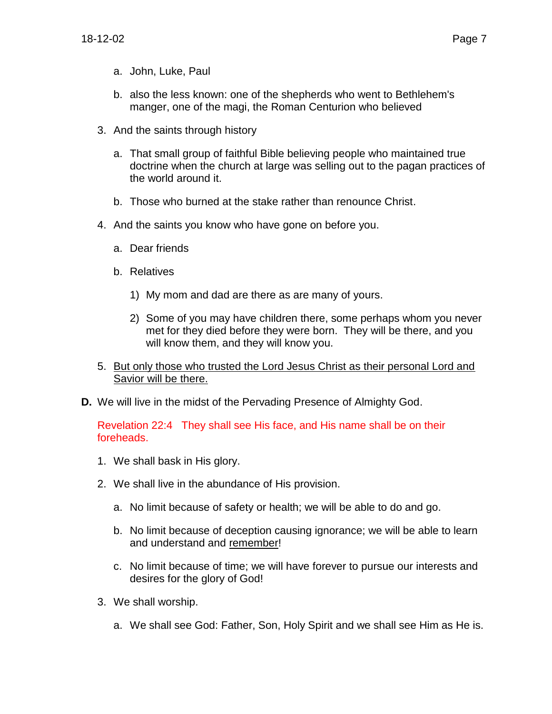- a. John, Luke, Paul
- b. also the less known: one of the shepherds who went to Bethlehem's manger, one of the magi, the Roman Centurion who believed
- 3. And the saints through history
	- a. That small group of faithful Bible believing people who maintained true doctrine when the church at large was selling out to the pagan practices of the world around it.
	- b. Those who burned at the stake rather than renounce Christ.
- 4. And the saints you know who have gone on before you.
	- a. Dear friends
	- b. Relatives
		- 1) My mom and dad are there as are many of yours.
		- 2) Some of you may have children there, some perhaps whom you never met for they died before they were born. They will be there, and you will know them, and they will know you.
- 5. But only those who trusted the Lord Jesus Christ as their personal Lord and Savior will be there.
- **D.** We will live in the midst of the Pervading Presence of Almighty God.

Revelation 22:4 They shall see His face, and His name shall be on their foreheads.

- 1. We shall bask in His glory.
- 2. We shall live in the abundance of His provision.
	- a. No limit because of safety or health; we will be able to do and go.
	- b. No limit because of deception causing ignorance; we will be able to learn and understand and remember!
	- c. No limit because of time; we will have forever to pursue our interests and desires for the glory of God!
- 3. We shall worship.
	- a. We shall see God: Father, Son, Holy Spirit and we shall see Him as He is.